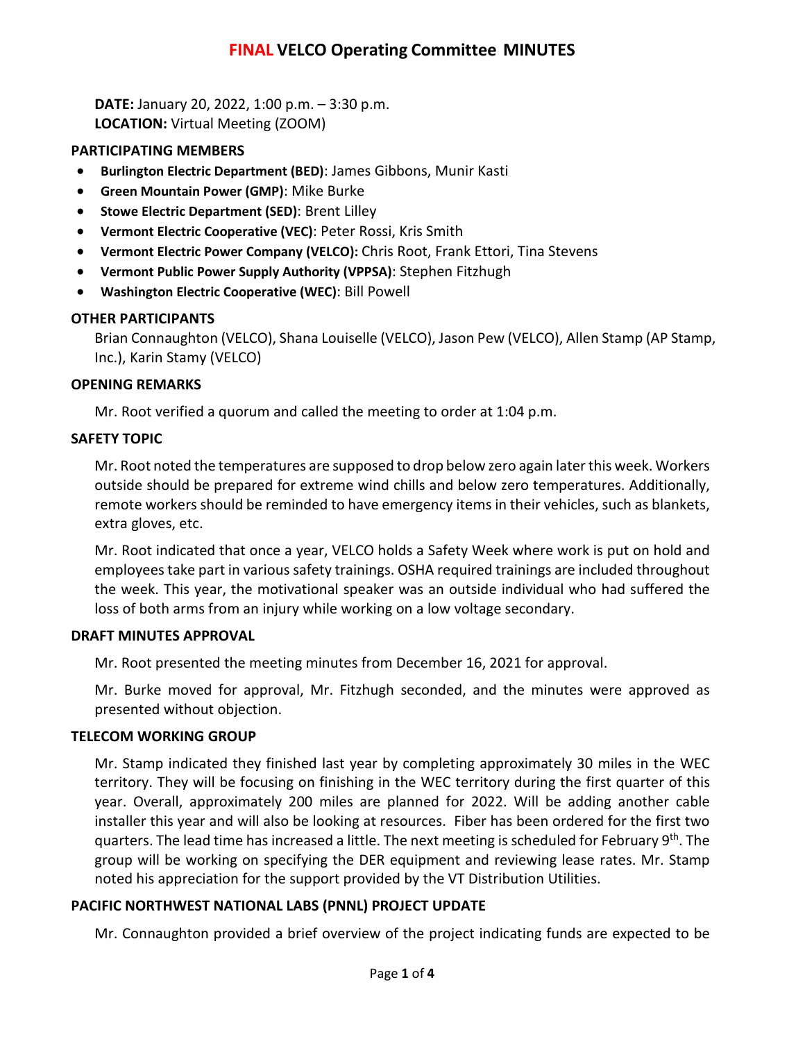# **FINAL VELCO Operating Committee MINUTES**

**DATE:** January 20, 2022, 1:00 p.m. – 3:30 p.m. **LOCATION:** Virtual Meeting (ZOOM)

### **PARTICIPATING MEMBERS**

- **Burlington Electric Department (BED)**: James Gibbons, Munir Kasti
- **Green Mountain Power (GMP)**: Mike Burke
- **Stowe Electric Department (SED)**: Brent Lilley
- **Vermont Electric Cooperative (VEC)**: Peter Rossi, Kris Smith
- **Vermont Electric Power Company (VELCO):** Chris Root, Frank Ettori, Tina Stevens
- **Vermont Public Power Supply Authority (VPPSA)**: Stephen Fitzhugh
- **Washington Electric Cooperative (WEC)**: Bill Powell

## **OTHER PARTICIPANTS**

Brian Connaughton (VELCO), Shana Louiselle (VELCO), Jason Pew (VELCO), Allen Stamp (AP Stamp, Inc.), Karin Stamy (VELCO)

### **OPENING REMARKS**

Mr. Root verified a quorum and called the meeting to order at 1:04 p.m.

### **SAFETY TOPIC**

Mr. Root noted the temperatures are supposed to drop below zero again later this week. Workers outside should be prepared for extreme wind chills and below zero temperatures. Additionally, remote workers should be reminded to have emergency items in their vehicles, such as blankets, extra gloves, etc.

Mr. Root indicated that once a year, VELCO holds a Safety Week where work is put on hold and employees take part in various safety trainings. OSHA required trainings are included throughout the week. This year, the motivational speaker was an outside individual who had suffered the loss of both arms from an injury while working on a low voltage secondary.

### **DRAFT MINUTES APPROVAL**

Mr. Root presented the meeting minutes from December 16, 2021 for approval.

Mr. Burke moved for approval, Mr. Fitzhugh seconded, and the minutes were approved as presented without objection.

### **TELECOM WORKING GROUP**

Mr. Stamp indicated they finished last year by completing approximately 30 miles in the WEC territory. They will be focusing on finishing in the WEC territory during the first quarter of this year. Overall, approximately 200 miles are planned for 2022. Will be adding another cable installer this year and will also be looking at resources. Fiber has been ordered for the first two quarters. The lead time has increased a little. The next meeting is scheduled for February 9th. The group will be working on specifying the DER equipment and reviewing lease rates. Mr. Stamp noted his appreciation for the support provided by the VT Distribution Utilities.

### **PACIFIC NORTHWEST NATIONAL LABS (PNNL) PROJECT UPDATE**

Mr. Connaughton provided a brief overview of the project indicating funds are expected to be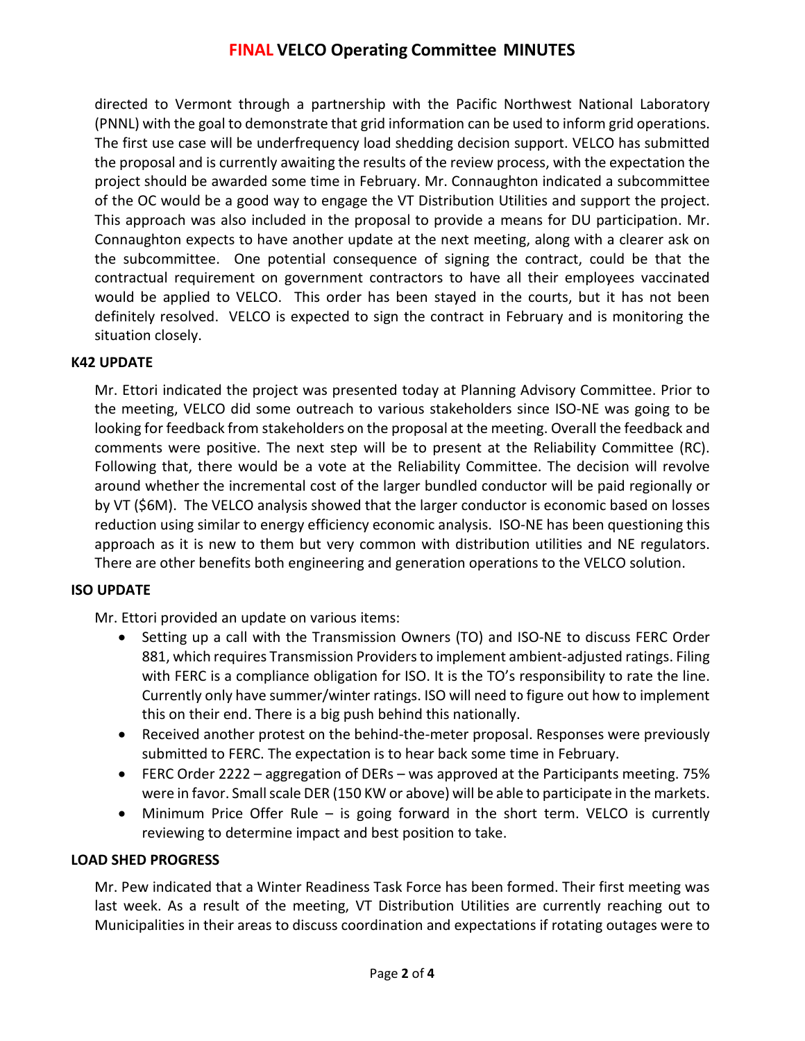# **FINAL VELCO Operating Committee MINUTES**

directed to Vermont through a partnership with the Pacific Northwest National Laboratory (PNNL) with the goal to demonstrate that grid information can be used to inform grid operations. The first use case will be underfrequency load shedding decision support. VELCO has submitted the proposal and is currently awaiting the results of the review process, with the expectation the project should be awarded some time in February. Mr. Connaughton indicated a subcommittee of the OC would be a good way to engage the VT Distribution Utilities and support the project. This approach was also included in the proposal to provide a means for DU participation. Mr. Connaughton expects to have another update at the next meeting, along with a clearer ask on the subcommittee. One potential consequence of signing the contract, could be that the contractual requirement on government contractors to have all their employees vaccinated would be applied to VELCO. This order has been stayed in the courts, but it has not been definitely resolved. VELCO is expected to sign the contract in February and is monitoring the situation closely.

### **K42 UPDATE**

Mr. Ettori indicated the project was presented today at Planning Advisory Committee. Prior to the meeting, VELCO did some outreach to various stakeholders since ISO-NE was going to be looking for feedback from stakeholders on the proposal at the meeting. Overall the feedback and comments were positive. The next step will be to present at the Reliability Committee (RC). Following that, there would be a vote at the Reliability Committee. The decision will revolve around whether the incremental cost of the larger bundled conductor will be paid regionally or by VT (\$6M). The VELCO analysis showed that the larger conductor is economic based on losses reduction using similar to energy efficiency economic analysis. ISO-NE has been questioning this approach as it is new to them but very common with distribution utilities and NE regulators. There are other benefits both engineering and generation operations to the VELCO solution.

#### **ISO UPDATE**

Mr. Ettori provided an update on various items:

- Setting up a call with the Transmission Owners (TO) and ISO-NE to discuss FERC Order 881, which requires Transmission Providers to implement ambient-adjusted ratings. Filing with FERC is a compliance obligation for ISO. It is the TO's responsibility to rate the line. Currently only have summer/winter ratings. ISO will need to figure out how to implement this on their end. There is a big push behind this nationally.
- Received another protest on the behind-the-meter proposal. Responses were previously submitted to FERC. The expectation is to hear back some time in February.
- FERC Order 2222 aggregation of DERs was approved at the Participants meeting. 75% were in favor. Small scale DER (150 KW or above) will be able to participate in the markets.
- Minimum Price Offer Rule is going forward in the short term. VELCO is currently reviewing to determine impact and best position to take.

### **LOAD SHED PROGRESS**

Mr. Pew indicated that a Winter Readiness Task Force has been formed. Their first meeting was last week. As a result of the meeting, VT Distribution Utilities are currently reaching out to Municipalities in their areas to discuss coordination and expectations if rotating outages were to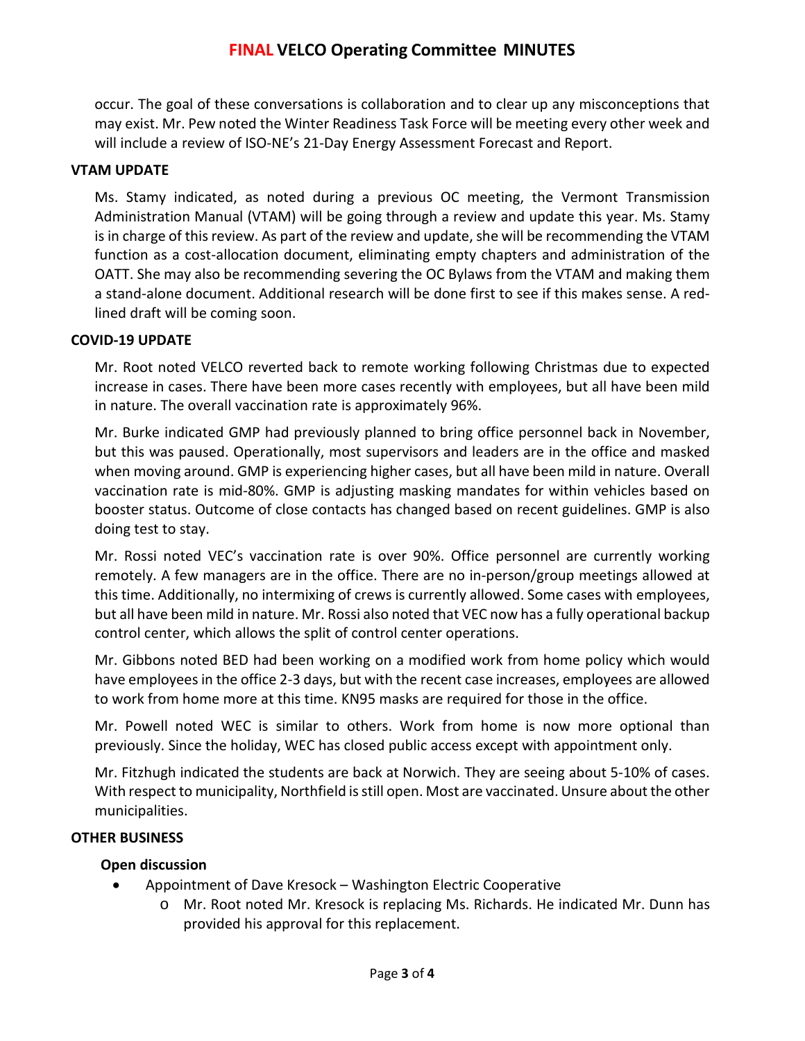occur. The goal of these conversations is collaboration and to clear up any misconceptions that may exist. Mr. Pew noted the Winter Readiness Task Force will be meeting every other week and will include a review of ISO-NE's 21-Day Energy Assessment Forecast and Report.

### **VTAM UPDATE**

Ms. Stamy indicated, as noted during a previous OC meeting, the Vermont Transmission Administration Manual (VTAM) will be going through a review and update this year. Ms. Stamy is in charge of this review. As part of the review and update, she will be recommending the VTAM function as a cost-allocation document, eliminating empty chapters and administration of the OATT. She may also be recommending severing the OC Bylaws from the VTAM and making them a stand-alone document. Additional research will be done first to see if this makes sense. A redlined draft will be coming soon.

### **COVID-19 UPDATE**

Mr. Root noted VELCO reverted back to remote working following Christmas due to expected increase in cases. There have been more cases recently with employees, but all have been mild in nature. The overall vaccination rate is approximately 96%.

Mr. Burke indicated GMP had previously planned to bring office personnel back in November, but this was paused. Operationally, most supervisors and leaders are in the office and masked when moving around. GMP is experiencing higher cases, but all have been mild in nature. Overall vaccination rate is mid-80%. GMP is adjusting masking mandates for within vehicles based on booster status. Outcome of close contacts has changed based on recent guidelines. GMP is also doing test to stay.

Mr. Rossi noted VEC's vaccination rate is over 90%. Office personnel are currently working remotely. A few managers are in the office. There are no in-person/group meetings allowed at this time. Additionally, no intermixing of crews is currently allowed. Some cases with employees, but all have been mild in nature. Mr. Rossi also noted that VEC now has a fully operational backup control center, which allows the split of control center operations.

Mr. Gibbons noted BED had been working on a modified work from home policy which would have employees in the office 2-3 days, but with the recent case increases, employees are allowed to work from home more at this time. KN95 masks are required for those in the office.

Mr. Powell noted WEC is similar to others. Work from home is now more optional than previously. Since the holiday, WEC has closed public access except with appointment only.

Mr. Fitzhugh indicated the students are back at Norwich. They are seeing about 5-10% of cases. With respect to municipality, Northfield is still open. Most are vaccinated. Unsure about the other municipalities.

### **OTHER BUSINESS**

### **Open discussion**

- Appointment of Dave Kresock Washington Electric Cooperative
	- o Mr. Root noted Mr. Kresock is replacing Ms. Richards. He indicated Mr. Dunn has provided his approval for this replacement.